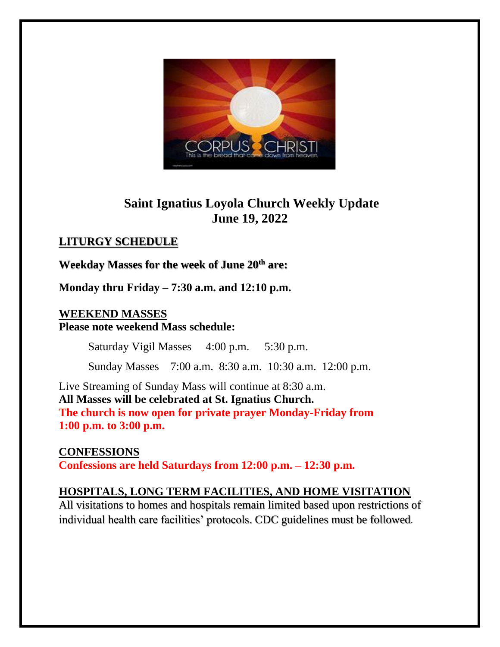

# **Saint Ignatius Loyola Church Weekly Update June 19, 2022**

# **LITURGY SCHEDULE**

## **Weekday Masses for the week of June 20th are:**

**Monday thru Friday – 7:30 a.m. and 12:10 p.m.**

### **WEEKEND MASSES Please note weekend Mass schedule:**

Saturday Vigil Masses 4:00 p.m. 5:30 p.m.

Sunday Masses 7:00 a.m. 8:30 a.m. 10:30 a.m. 12:00 p.m.

Live Streaming of Sunday Mass will continue at 8:30 a.m. **All Masses will be celebrated at St. Ignatius Church. The church is now open for private prayer Monday-Friday from 1:00 p.m. to 3:00 p.m.**

**CONFESSIONS Confessions are held Saturdays from 12:00 p.m. – 12:30 p.m.** 

## **HOSPITALS, LONG TERM FACILITIES, AND HOME VISITATION**

All visitations to homes and hospitals remain limited based upon restrictions of individual health care facilities' protocols. CDC guidelines must be followed.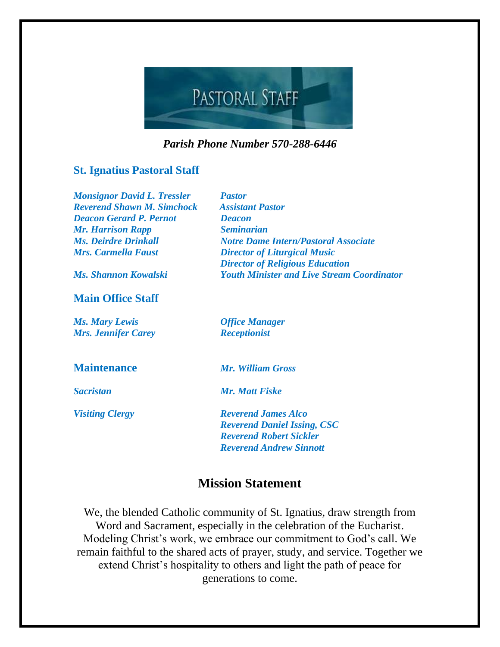

*Parish Phone Number 570-288-6446*

### **St. Ignatius Pastoral Staff**

| <b>Monsignor David L. Tressler</b> | <b>Pastor</b>                                     |
|------------------------------------|---------------------------------------------------|
| <b>Reverend Shawn M. Simchock</b>  | <b>Assistant Pastor</b>                           |
| <b>Deacon Gerard P. Pernot</b>     | <b>Deacon</b>                                     |
| <b>Mr. Harrison Rapp</b>           | <b>Seminarian</b>                                 |
| <b>Ms. Deirdre Drinkall</b>        | <b>Notre Dame Intern/Pastoral Associate</b>       |
| <b>Mrs. Carmella Faust</b>         | <b>Director of Liturgical Music</b>               |
|                                    | <b>Director of Religious Education</b>            |
| Ms. Shannon Kowalski               | <b>Youth Minister and Live Stream Coordinator</b> |
| <b>Main Office Staff</b>           |                                                   |
| <b>Ms. Mary Lewis</b>              | <b>Office Manager</b>                             |
| <b>Mrs. Jennifer Carey</b>         | <b>Receptionist</b>                               |
| <b>Maintenance</b>                 | Mr. William Gross                                 |
| <b>Sacristan</b>                   | <b>Mr. Matt Fiske</b>                             |
| <b>Visiting Clergy</b>             | <b>Reverend James Alco</b>                        |
|                                    | <b>Reverend Daniel Issing, CSC</b>                |
|                                    | <b>Reverend Robert Sickler</b>                    |
|                                    | <b>Reverend Andrew Sinnott</b>                    |
|                                    |                                                   |

# **Mission Statement**

We, the blended Catholic community of St. Ignatius, draw strength from Word and Sacrament, especially in the celebration of the Eucharist. Modeling Christ's work, we embrace our commitment to God's call. We remain faithful to the shared acts of prayer, study, and service. Together we extend Christ's hospitality to others and light the path of peace for generations to come.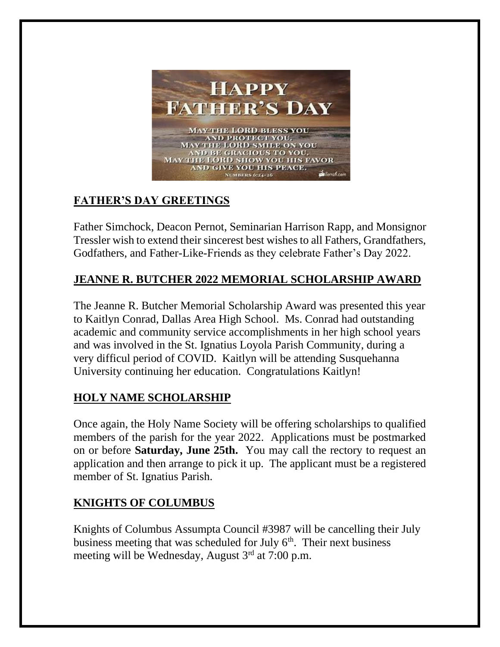

# **FATHER'S DAY GREETINGS**

Father Simchock, Deacon Pernot, Seminarian Harrison Rapp, and Monsignor Tressler wish to extend their sincerest best wishes to all Fathers, Grandfathers, Godfathers, and Father-Like-Friends as they celebrate Father's Day 2022.

# **JEANNE R. BUTCHER 2022 MEMORIAL SCHOLARSHIP AWARD**

The Jeanne R. Butcher Memorial Scholarship Award was presented this year to Kaitlyn Conrad, Dallas Area High School. Ms. Conrad had outstanding academic and community service accomplishments in her high school years and was involved in the St. Ignatius Loyola Parish Community, during a very difficul period of COVID. Kaitlyn will be attending Susquehanna University continuing her education. Congratulations Kaitlyn!

## **HOLY NAME SCHOLARSHIP**

Once again, the Holy Name Society will be offering scholarships to qualified members of the parish for the year 2022. Applications must be postmarked on or before **Saturday, June 25th.** You may call the rectory to request an application and then arrange to pick it up. The applicant must be a registered member of St. Ignatius Parish.

# **KNIGHTS OF COLUMBUS**

Knights of Columbus Assumpta Council #3987 will be cancelling their July business meeting that was scheduled for July 6<sup>th</sup>. Their next business meeting will be Wednesday, August 3<sup>rd</sup> at 7:00 p.m.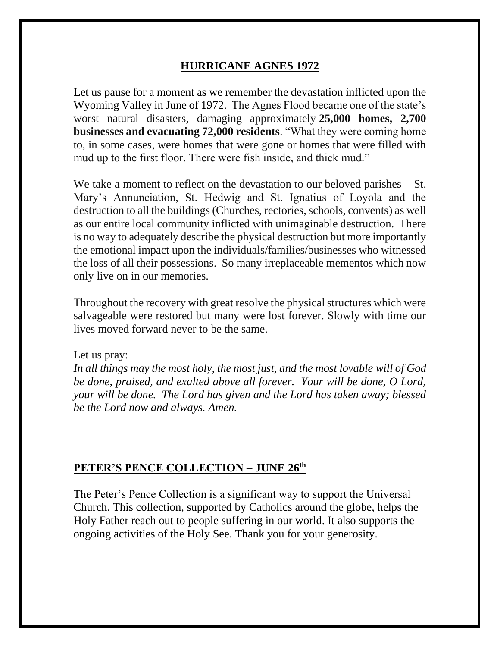### **HURRICANE AGNES 1972**

Let us pause for a moment as we remember the devastation inflicted upon the Wyoming Valley in June of 1972. The Agnes Flood became one of the state's worst natural disasters, damaging approximately **25,000 homes, 2,700 businesses and evacuating 72,000 residents**. "What they were coming home to, in some cases, were homes that were gone or homes that were filled with mud up to the first floor. There were fish inside, and thick mud."

We take a moment to reflect on the devastation to our beloved parishes – St. Mary's Annunciation, St. Hedwig and St. Ignatius of Loyola and the destruction to all the buildings (Churches, rectories, schools, convents) as well as our entire local community inflicted with unimaginable destruction. There is no way to adequately describe the physical destruction but more importantly the emotional impact upon the individuals/families/businesses who witnessed the loss of all their possessions. So many irreplaceable mementos which now only live on in our memories.

Throughout the recovery with great resolve the physical structures which were salvageable were restored but many were lost forever. Slowly with time our lives moved forward never to be the same.

#### Let us pray:

*In all things may the most holy, the most just, and the most lovable will of God be done, praised, and exalted above all forever. Your will be done, O Lord, your will be done. The Lord has given and the Lord has taken away; blessed be the Lord now and always. Amen.*

### **PETER'S PENCE COLLECTION – JUNE 26 th**

The Peter's Pence Collection is a significant way to support the Universal Church. This collection, supported by Catholics around the globe, helps the Holy Father reach out to people suffering in our world. It also supports the ongoing activities of the Holy See. Thank you for your generosity.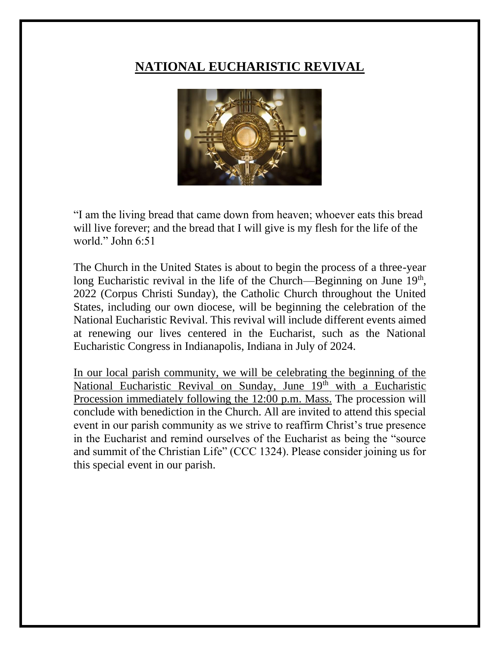# **NATIONAL EUCHARISTIC REVIVAL**



"I am the living bread that came down from heaven; whoever eats this bread will live forever; and the bread that I will give is my flesh for the life of the world." John 6:51

The Church in the United States is about to begin the process of a three-year long Eucharistic revival in the life of the Church—Beginning on June  $19<sup>th</sup>$ , 2022 (Corpus Christi Sunday), the Catholic Church throughout the United States, including our own diocese, will be beginning the celebration of the National Eucharistic Revival. This revival will include different events aimed at renewing our lives centered in the Eucharist, such as the National Eucharistic Congress in Indianapolis, Indiana in July of 2024.

In our local parish community, we will be celebrating the beginning of the National Eucharistic Revival on Sunday, June 19th with a Eucharistic Procession immediately following the 12:00 p.m. Mass. The procession will conclude with benediction in the Church. All are invited to attend this special event in our parish community as we strive to reaffirm Christ's true presence in the Eucharist and remind ourselves of the Eucharist as being the "source and summit of the Christian Life" (CCC 1324). Please consider joining us for this special event in our parish.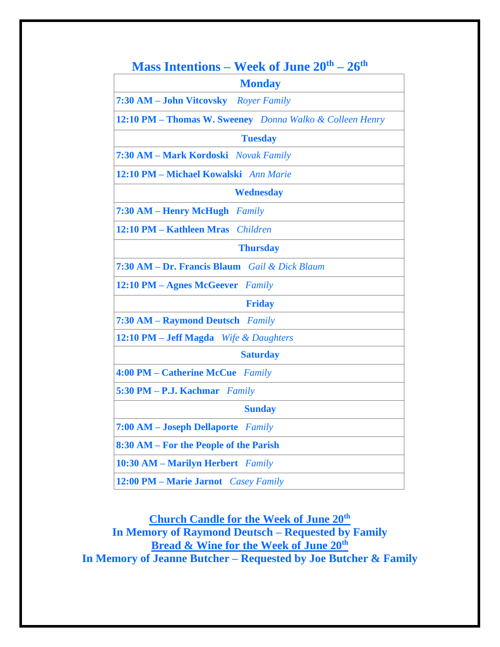| <b>Mass Intentions – Week of June 20th – 26th</b>        |  |
|----------------------------------------------------------|--|
| <b>Monday</b>                                            |  |
| 7:30 AM - John Vitcovsky Royer Family                    |  |
| 12:10 PM - Thomas W. Sweeney Donna Walko & Colleen Henry |  |
| <b>Tuesday</b>                                           |  |
| 7:30 AM - Mark Kordoski Novak Family                     |  |
| 12:10 PM - Michael Kowalski Ann Marie                    |  |
| <b>Wednesday</b>                                         |  |
| 7:30 AM – Henry McHugh<br>Family                         |  |
| 12:10 PM - Kathleen Mras Children                        |  |
| <b>Thursday</b>                                          |  |
| 7:30 AM - Dr. Francis Blaum Gail & Dick Blaum            |  |
| 12:10 PM - Agnes McGeever Family                         |  |
| <b>Friday</b>                                            |  |
| 7:30 AM - Raymond Deutsch Family                         |  |
| 12:10 PM - Jeff Magda Wife & Daughters                   |  |
| <b>Saturday</b>                                          |  |
| 4:00 PM - Catherine McCue Family                         |  |
| 5:30 PM - P.J. Kachmar Family                            |  |
| <b>Sunday</b>                                            |  |
| 7:00 AM - Joseph Dellaporte Family                       |  |
| 8:30 AM – For the People of the Parish                   |  |
| 10:30 AM - Marilyn Herbert Family                        |  |
| 12:00 PM - Marie Jarnot Casey Family                     |  |

**Church Candle for the Week of June 20th In Memory of Raymond Deutsch – Requested by Family Bread & Wine for the Week of June 20th In Memory of Jeanne Butcher – Requested by Joe Butcher & Family**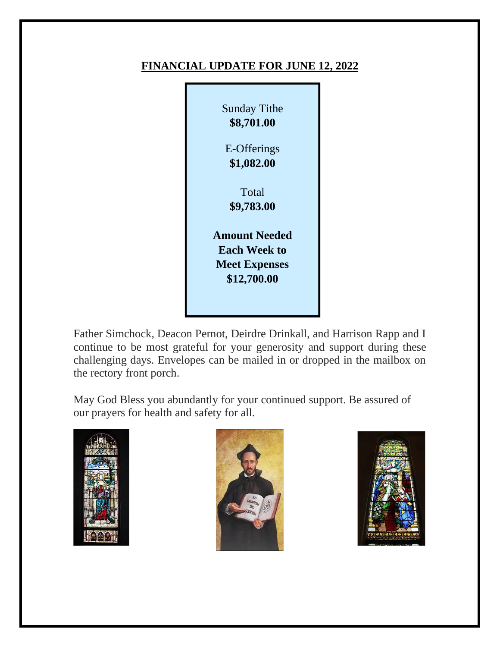### **FINANCIAL UPDATE FOR JUNE 12, 2022**



Father Simchock, Deacon Pernot, Deirdre Drinkall, and Harrison Rapp and I continue to be most grateful for your generosity and support during these challenging days. Envelopes can be mailed in or dropped in the mailbox on the rectory front porch.

May God Bless you abundantly for your continued support. Be assured of our prayers for health and safety for all.





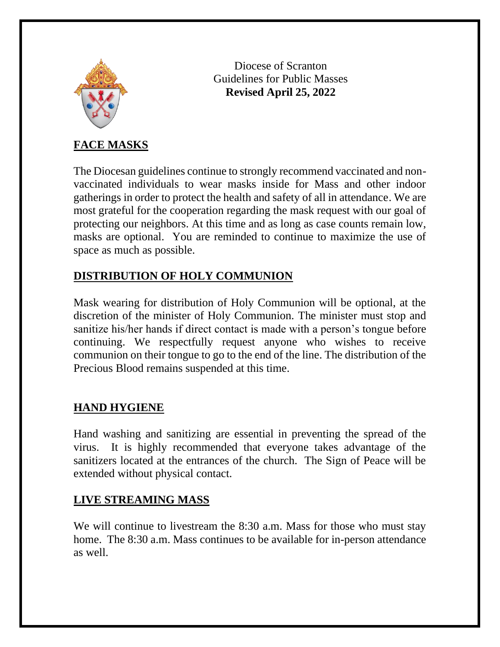

Diocese of Scranton Guidelines for Public Masses **Revised April 25, 2022**

# **FACE MASKS**

The Diocesan guidelines continue to strongly recommend vaccinated and nonvaccinated individuals to wear masks inside for Mass and other indoor gatherings in order to protect the health and safety of all in attendance. We are most grateful for the cooperation regarding the mask request with our goal of protecting our neighbors. At this time and as long as case counts remain low, masks are optional. You are reminded to continue to maximize the use of space as much as possible.

## **DISTRIBUTION OF HOLY COMMUNION**

Mask wearing for distribution of Holy Communion will be optional, at the discretion of the minister of Holy Communion. The minister must stop and sanitize his/her hands if direct contact is made with a person's tongue before continuing. We respectfully request anyone who wishes to receive communion on their tongue to go to the end of the line. The distribution of the Precious Blood remains suspended at this time.

## **HAND HYGIENE**

Hand washing and sanitizing are essential in preventing the spread of the virus. It is highly recommended that everyone takes advantage of the sanitizers located at the entrances of the church. The Sign of Peace will be extended without physical contact.

### **LIVE STREAMING MASS**

We will continue to livestream the 8:30 a.m. Mass for those who must stay home. The 8:30 a.m. Mass continues to be available for in-person attendance as well.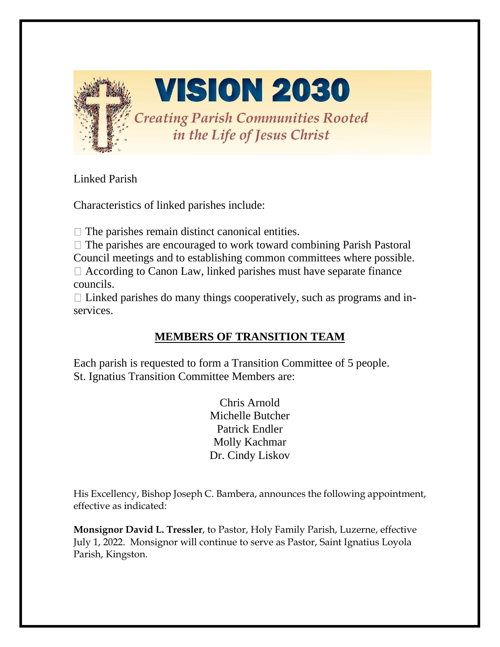

**VISION 2030** 

**Creating Parish Communities Rooted** in the Life of Jesus Christ

Linked Parish

Characteristics of linked parishes include:

 $\Box$  The parishes remain distinct canonical entities.

 $\Box$  The parishes are encouraged to work toward combining Parish Pastoral Council meetings and to establishing common committees where possible.  $\Box$  According to Canon Law, linked parishes must have separate finance councils.

 $\Box$  Linked parishes do many things cooperatively, such as programs and inservices.

# **MEMBERS OF TRANSITION TEAM**

Each parish is requested to form a Transition Committee of 5 people. St. Ignatius Transition Committee Members are:

> Chris Arnold Michelle Butcher Patrick Endler Molly Kachmar Dr. Cindy Liskov

His Excellency, Bishop Joseph C. Bambera, announces the following appointment, effective as indicated:

**Monsignor David L. Tressler**, to Pastor, Holy Family Parish, Luzerne, effective July 1, 2022. Monsignor will continue to serve as Pastor, Saint Ignatius Loyola Parish, Kingston.